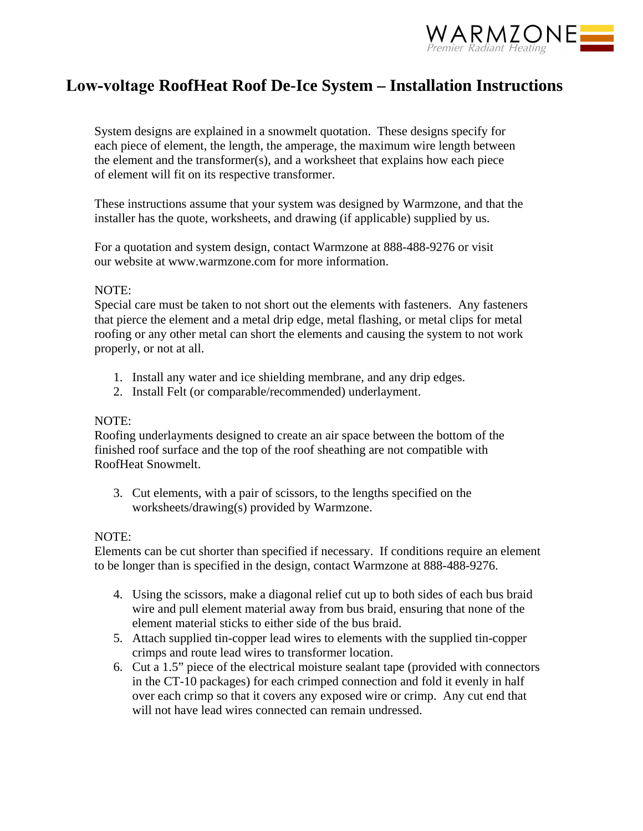

# **Low-voltage RoofHeat Roof De-Ice System – Installation Instructions**

System designs are explained in a snowmelt quotation. These designs specify for each piece of element, the length, the amperage, the maximum wire length between the element and the transformer(s), and a worksheet that explains how each piece of element will fit on its respective transformer.

These instructions assume that your system was designed by Warmzone, and that the installer has the quote, worksheets, and drawing (if applicable) supplied by us.

For a quotation and system design, contact Warmzone at 888-488-9276 or visit our website at www.warmzone.com for more information.

## NOTE:

Special care must be taken to not short out the elements with fasteners. Any fasteners that pierce the element and a metal drip edge, metal flashing, or metal clips for metal roofing or any other metal can short the elements and causing the system to not work properly, or not at all.

- 1. Install any water and ice shielding membrane, and any drip edges.
- 2. Install Felt (or comparable/recommended) underlayment.

#### NOTE:

Roofing underlayments designed to create an air space between the bottom of the finished roof surface and the top of the roof sheathing are not compatible with RoofHeat Snowmelt.

3. Cut elements, with a pair of scissors, to the lengths specified on the worksheets/drawing(s) provided by Warmzone.

## NOTE:

Elements can be cut shorter than specified if necessary. If conditions require an element to be longer than is specified in the design, contact Warmzone at 888-488-9276.

- 4. Using the scissors, make a diagonal relief cut up to both sides of each bus braid wire and pull element material away from bus braid, ensuring that none of the element material sticks to either side of the bus braid.
- 5. Attach supplied tin-copper lead wires to elements with the supplied tin-copper crimps and route lead wires to transformer location.
- 6. Cut a 1.5" piece of the electrical moisture sealant tape (provided with connectors in the CT-10 packages) for each crimped connection and fold it evenly in half over each crimp so that it covers any exposed wire or crimp. Any cut end that will not have lead wires connected can remain undressed.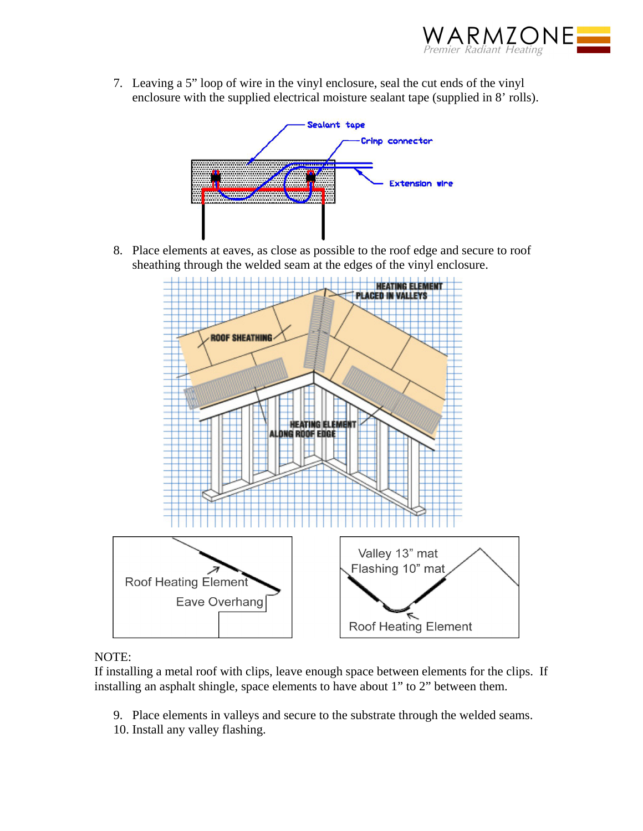

7. Leaving a 5" loop of wire in the vinyl enclosure, seal the cut ends of the vinyl enclosure with the supplied electrical moisture sealant tape (supplied in 8' rolls).



8. Place elements at eaves, as close as possible to the roof edge and secure to roof sheathing through the welded seam at the edges of the vinyl enclosure.



# NOTE:

If installing a metal roof with clips, leave enough space between elements for the clips. If installing an asphalt shingle, space elements to have about 1" to 2" between them.

- 9. Place elements in valleys and secure to the substrate through the welded seams.
- 10. Install any valley flashing.